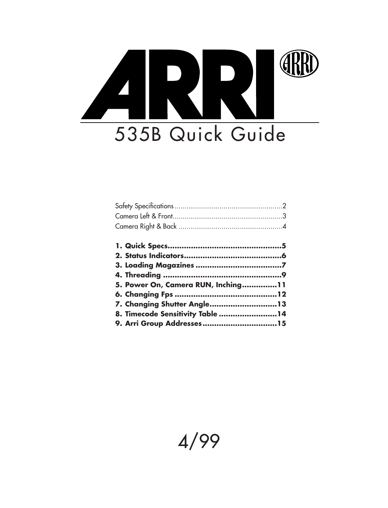# ERR 535B Quick Guide

| 5. Power On, Camera RUN, Inching11 |  |
|------------------------------------|--|
|                                    |  |
| 7. Changing Shutter Angle13        |  |
| 8. Timecode Sensitivity Table 14   |  |
|                                    |  |

# 4/99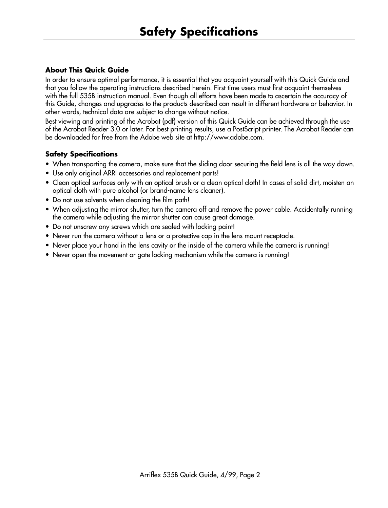# **About This Quick Guide**

In order to ensure optimal performance, it is essential that you acquaint yourself with this Quick Guide and that you follow the operating instructions described herein. First time users must first acquaint themselves with the full 535B instruction manual. Even though all efforts have been made to ascertain the accuracy of this Guide, changes and upgrades to the products described can result in different hardware or behavior. In other words, technical data are subject to change without notice.

Best viewing and printing of the Acrobat (pdf) version of this Quick Guide can be achieved through the use of the Acrobat Reader 3.0 or later. For best printing results, use a PostScript printer. The Acrobat Reader can be downloaded for free from the Adobe web site at http://www.adobe.com.

# **Safety Specifications**

- When transporting the camera, make sure that the sliding door securing the field lens is all the way down.
- Use only original ARRI accessories and replacement parts!
- Clean optical surfaces only with an optical brush or a clean optical cloth! In cases of solid dirt, moisten an optical cloth with pure alcohol (or brand-name lens cleaner).
- Do not use solvents when cleaning the film path!
- When adjusting the mirror shutter, turn the camera off and remove the power cable. Accidentally running the camera while adjusting the mirror shutter can cause great damage.
- Do not unscrew any screws which are sealed with locking paint!
- Never run the camera without a lens or a protective cap in the lens mount receptacle.
- Never place your hand in the lens cavity or the inside of the camera while the camera is running!
- Never open the movement or gate locking mechanism while the camera is running!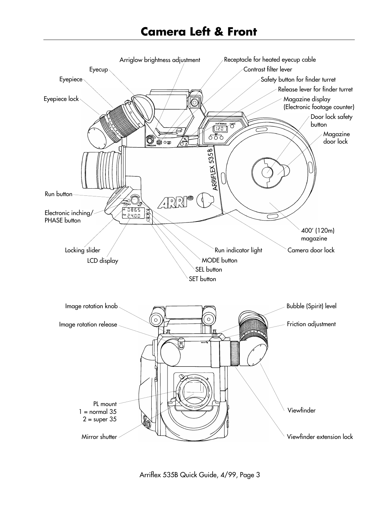# **Camera Left & Front**

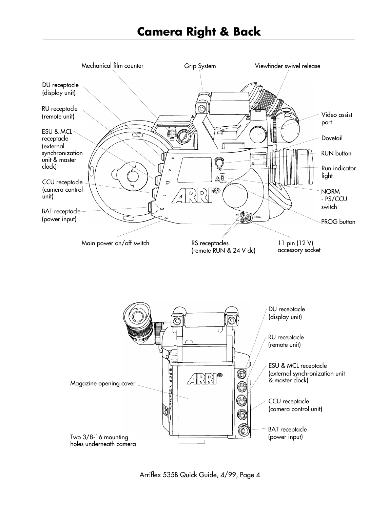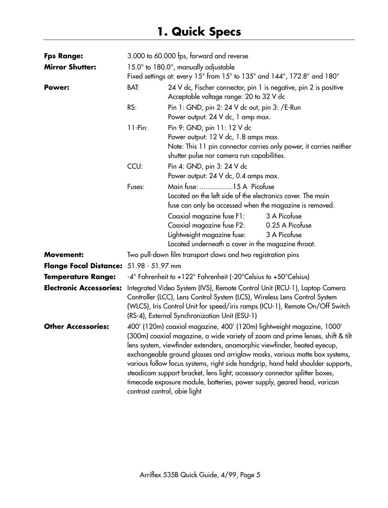| <b>Fps Range:</b>                       | 3.000 to 60.000 fps, forward and reverse                                                                                                                                                                                                                                                                                                                                                                                                                                                                                                                                                      |                                                                                                                                                                                                                                                                                         |
|-----------------------------------------|-----------------------------------------------------------------------------------------------------------------------------------------------------------------------------------------------------------------------------------------------------------------------------------------------------------------------------------------------------------------------------------------------------------------------------------------------------------------------------------------------------------------------------------------------------------------------------------------------|-----------------------------------------------------------------------------------------------------------------------------------------------------------------------------------------------------------------------------------------------------------------------------------------|
| <b>Mirror Shutter:</b>                  | $15.0^\circ$ to $180.0^\circ$ , manually adjustable                                                                                                                                                                                                                                                                                                                                                                                                                                                                                                                                           |                                                                                                                                                                                                                                                                                         |
|                                         |                                                                                                                                                                                                                                                                                                                                                                                                                                                                                                                                                                                               | Fixed settings at: every 15° from 15° to 135° and 144°, 172.8° and 180°                                                                                                                                                                                                                 |
| Power:                                  | BAT:                                                                                                                                                                                                                                                                                                                                                                                                                                                                                                                                                                                          | 24 V dc, Fischer connector, pin 1 is negative, pin 2 is positive<br>Acceptable voltage range: 20 to 32 V dc                                                                                                                                                                             |
|                                         | RS:                                                                                                                                                                                                                                                                                                                                                                                                                                                                                                                                                                                           | Pin 1: GND, pin 2: 24 V dc out, pin 3: /E-Run<br>Power output: 24 V dc, 1 amp max.                                                                                                                                                                                                      |
|                                         | $11-Pin:$                                                                                                                                                                                                                                                                                                                                                                                                                                                                                                                                                                                     | Pin 9: GND, pin 11: 12 V dc<br>Power output: 12 V dc, 1.8 amps max.<br>Note: This 11 pin connector carries only power, it carries neither<br>shutter pulse nor camera run capabilities.                                                                                                 |
|                                         | CCU:                                                                                                                                                                                                                                                                                                                                                                                                                                                                                                                                                                                          | Pin 4: GND, pin 3: 24 V dc<br>Power output: 24 V dc, 0.4 amps max.                                                                                                                                                                                                                      |
|                                         | Fuses:                                                                                                                                                                                                                                                                                                                                                                                                                                                                                                                                                                                        | Main fuse: 15 A Picofuse<br>Located on the left side of the electronics cover. The main<br>fuse can only be accessed when the magazine is removed.                                                                                                                                      |
|                                         |                                                                                                                                                                                                                                                                                                                                                                                                                                                                                                                                                                                               | 3 A Picofuse<br>Coaxial magazine fuse F1:<br>Coaxial magazine fuse F2:<br>0.25 A Picofuse<br>Lightweight magazine fuse:<br>3 A Picofuse<br>Located underneath a cover in the magazine throat.                                                                                           |
| <b>Movement:</b>                        |                                                                                                                                                                                                                                                                                                                                                                                                                                                                                                                                                                                               | Two pull-down film transport claws and two registration pins                                                                                                                                                                                                                            |
| Flange Focal Distance: 51.98 - 51.97 mm |                                                                                                                                                                                                                                                                                                                                                                                                                                                                                                                                                                                               |                                                                                                                                                                                                                                                                                         |
| <b>Temperature Range:</b>               |                                                                                                                                                                                                                                                                                                                                                                                                                                                                                                                                                                                               | $-4^{\circ}$ Fahrenheit to $+122^{\circ}$ Fahrenheit (-20 $^{\circ}$ Celsius to $+50^{\circ}$ Celsius)                                                                                                                                                                                  |
| <b>Electronic Accessories:</b>          |                                                                                                                                                                                                                                                                                                                                                                                                                                                                                                                                                                                               | Integrated Video System (IVS), Remote Control Unit (RCU-1), Laptop Camera<br>Controller (LCC), Lens Control System (LCS), Wireless Lens Control System<br>(WLCS), Iris Control Unit for speed/iris ramps (ICU-1), Remote On/Off Switch<br>(RS-4), External Synchronization Unit (ESU-1) |
| <b>Other Accessories:</b>               | 400' (120m) coaxial magazine, 400' (120m) lightweight magazine, 1000'<br>(300m) coaxial magazine, a wide variety of zoom and prime lenses, shift & tilt<br>lens system, viewfinder extenders, anamorphic viewfinder, heated eyecup,<br>exchangeable ground glasses and arriglow masks, various matte box systems,<br>various follow focus systems, right side handgrip, hand held shoulder supports,<br>steadicam support bracket, lens light, accessory connector splitter boxes,<br>timecode exposure module, batteries, power supply, geared head, varicon<br>contrast control, obie light |                                                                                                                                                                                                                                                                                         |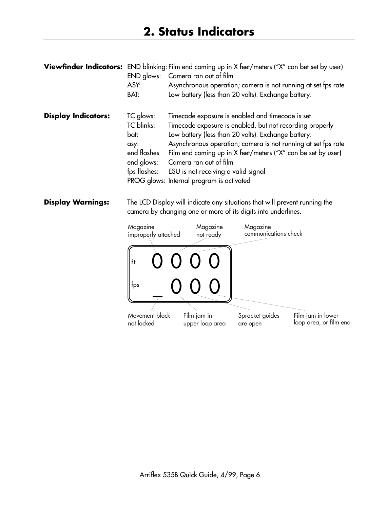| <b>Viewfinder Indicators:</b> | END glows:<br>ASY:<br>BAT:                                                           | END blinking: Film end coming up in X feet/meters ("X" can bet set by user)<br>Camera ran out of film<br>Asynchronous operation; camera is not running at set fps rate<br>Low battery (less than 20 volts). Exchange battery.                                                                                                                                                                                      |
|-------------------------------|--------------------------------------------------------------------------------------|--------------------------------------------------------------------------------------------------------------------------------------------------------------------------------------------------------------------------------------------------------------------------------------------------------------------------------------------------------------------------------------------------------------------|
| <b>Display Indicators:</b>    | TC glows:<br>TC blinks:<br>bat:<br>asy:<br>end flashes<br>end glows:<br>fps flashes: | Timecode exposure is enabled and timecode is set<br>Timecode exposure is enabled, but not recording properly<br>Low battery (less than 20 volts). Exchange battery.<br>Asynchronous operation; camera is not running at set fps rate<br>Film end coming up in X feet/meters ("X" can be set by user)<br>Camera ran out of film<br>ESU is not receiving a valid signal<br>PROG glows: Internal program is activated |

**Display Warnings:** The LCD Display will indicate any situations that will prevent running the camera by changing one or more of its digits into underlines.

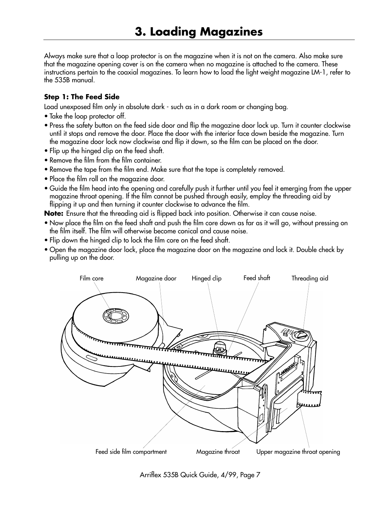Always make sure that a loop protector is on the magazine when it is not on the camera. Also make sure that the magazine opening cover is on the camera when no magazine is attached to the camera. These instructions pertain to the coaxial magazines. To learn how to load the light weight magazine LM-1, refer to the 535B manual.

#### **Step 1: The Feed Side**

Load unexposed film only in absolute dark - such as in a dark room or changing bag.

- Take the loop protector off.
- Press the safety button on the feed side door and flip the magazine door lock up. Turn it counter clockwise until it stops and remove the door. Place the door with the interior face down beside the magazine. Turn the magazine door lock now clockwise and flip it down, so the film can be placed on the door.
- Flip up the hinged clip on the feed shaft.
- Remove the film from the film container.
- Remove the tape from the film end. Make sure that the tape is completely removed.
- Place the film roll on the magazine door.
- Guide the film head into the opening and carefully push it further until you feel it emerging from the upper magazine throat opening. If the film cannot be pushed through easily, employ the threading aid by flipping it up and then turning it counter clockwise to advance the film.

**Note:** Ensure that the threading aid is flipped back into position. Otherwise it can cause noise.

- Now place the film on the feed shaft and push the film core down as far as it will go, without pressing on the film itself. The film will otherwise become conical and cause noise.
- Flip down the hinged clip to lock the film core on the feed shaft.
- Open the magazine door lock, place the magazine door on the magazine and lock it. Double check by pulling up on the door.



Arriflex 535B Quick Guide, 4/99, Page 7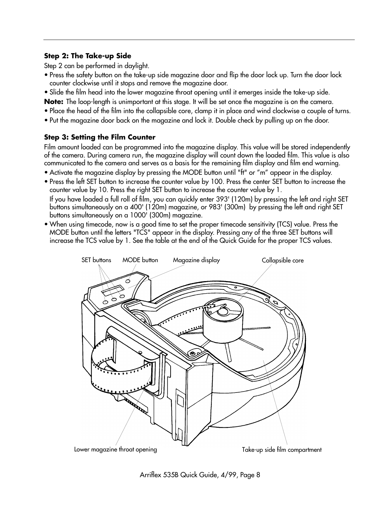### **Step 2: The Take-up Side**

Step 2 can be performed in daylight.

- Press the safety button on the take-up side magazine door and flip the door lock up. Turn the door lock counter clockwise until it stops and remove the magazine door.
- Slide the film head into the lower magazine throat opening until it emerges inside the take-up side.

**Note:** The loop-length is unimportant at this stage. It will be set once the magazine is on the camera.

- Place the head of the film into the collapsible core, clamp it in place and wind clockwise a couple of turns.
- Put the magazine door back on the magazine and lock it. Double check by pulling up on the door.

#### **Step 3: Setting the Film Counter**

Film amount loaded can be programmed into the magazine display. This value will be stored independently of the camera. During camera run, the magazine display will count down the loaded film. This value is also communicated to the camera and serves as a basis for the remaining film display and film end warning.

- Activate the magazine display by pressing the MODE button until "ft" or "m" appear in the display.
- Press the left SET button to increase the counter value by 100. Press the center SET button to increase the counter value by 10. Press the right SET button to increase the counter value by 1. If you have loaded a full roll of film, you can quickly enter 393' (120m) by pressing the left and right SET buttons simultaneously on a 400' (120m) magazine, or 983' (300m) by pressing the left and right SET buttons simultaneously on a 1000' (300m) magazine.
- When using timecode, now is a good time to set the proper timecode sensitivity (TCS) value. Press the MODE button until the letters "TCS" appear in the display. Pressing any of the three SET buttons will increase the TCS value by 1. See the table at the end of the Quick Guide for the proper TCS values.



Arriflex 535B Quick Guide, 4/99, Page 8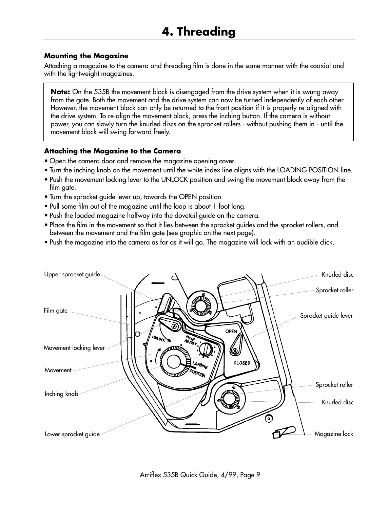#### **Mounting the Magazine**

Attaching a magazine to the camera and threading film is done in the same manner with the coaxial and with the lightweight magazines.

**Note:** On the 535B the movement block is disengaged from the drive system when it is swung away from the gate. Both the movement and the drive system can now be turned independently of each other. However, the movement block can only be returned to the front position if it is properly re-aligned with the drive system. To re-align the movement block, press the inching button. If the camera is without power, you can slowly turn the knurled discs on the sprocket rollers - without pushing them in - until the movement block will swing forward freely.

# **Attaching the Magazine to the Camera**

- Open the camera door and remove the magazine opening cover.
- Turn the inching knob on the movement until the white index line aligns with the LOADING POSITION line.
- Push the movement locking lever to the UNLOCK position and swing the movement block away from the film gate.
- Turn the sprocket guide lever up, towards the OPEN position.
- Pull some film out of the magazine until the loop is about 1 foot long.
- Push the loaded magazine halfway into the dovetail guide on the camera.
- Place the film in the movement so that it lies between the sprocket guides and the sprocket rollers, and between the movement and the film gate (see graphic on the next page).
- Push the magazine into the camera as far as it will go. The magazine will lock with an audible click.

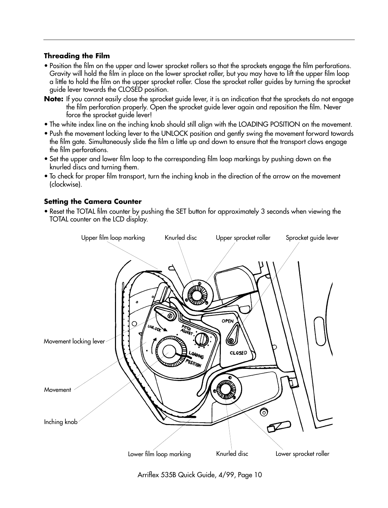# **Threading the Film**

- Position the film on the upper and lower sprocket rollers so that the sprockets engage the film perforations. Gravity will hold the film in place on the lower sprocket roller, but you may have to lift the upper film loop a little to hold the film on the upper sprocket roller. Close the sprocket roller guides by turning the sprocket guide lever towards the CLOSED position.
- **Note:** If you cannot easily close the sprocket guide lever, it is an indication that the sprockets do not engage the film perforation properly. Open the sprocket guide lever again and reposition the film. Never force the sprocket guide lever!
- The white index line on the inching knob should still align with the LOADING POSITION on the movement.
- Push the movement locking lever to the UNLOCK position and gently swing the movement forward towards the film gate. Simultaneously slide the film a little up and down to ensure that the transport claws engage the film perforations.
- Set the upper and lower film loop to the corresponding film loop markings by pushing down on the knurled discs and turning them.
- To check for proper film transport, turn the inching knob in the direction of the arrow on the movement (clockwise).

#### **Setting the Camera Counter**

• Reset the TOTAL film counter by pushing the SET button for approximately 3 seconds when viewing the TOTAL counter on the LCD display.



Arriflex 535B Quick Guide, 4/99, Page 10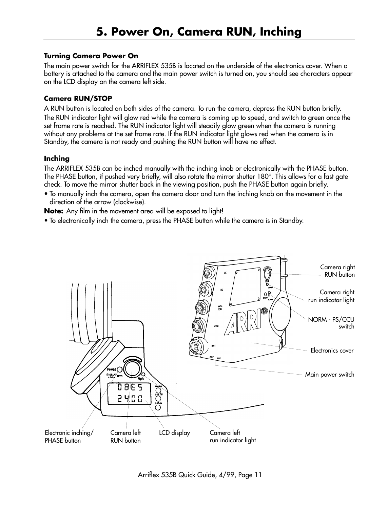#### **Turning Camera Power On**

The main power switch for the ARRIFLEX 535B is located on the underside of the electronics cover. When a battery is attached to the camera and the main power switch is turned on, you should see characters appear on the LCD display on the camera left side.

#### **Camera RUN/STOP**

A RUN button is located on both sides of the camera. To run the camera, depress the RUN button briefly. The RUN indicator light will glow red while the camera is coming up to speed, and switch to green once the set frame rate is reached. The RUN indicator light will steadily glow green when the camera is running without any problems at the set frame rate. If the RUN indicator light glows red when the camera is in Standby, the camera is not ready and pushing the RUN button will have no effect.

#### **Inching**

The ARRIFLEX 535B can be inched manually with the inching knob or electronically with the PHASE button. The PHASE button, if pushed very briefly, will also rotate the mirror shutter 180°. This allows for a fast gate check. To move the mirror shutter back in the viewing position, push the PHASE button again briefly.

• To manually inch the camera, open the camera door and turn the inching knob on the movement in the direction of the arrow (clockwise).

**Note:** Any film in the movement area will be exposed to light!

• To electronically inch the camera, press the PHASE button while the camera is in Standby.

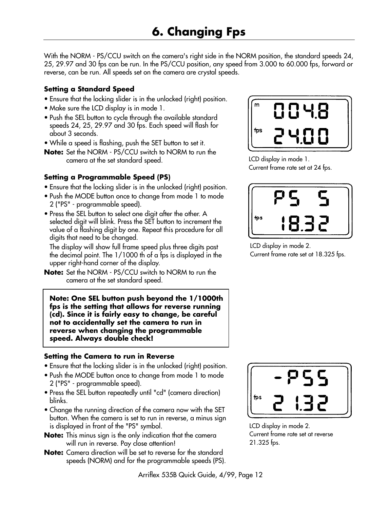With the NORM - PS/CCU switch on the camera's right side in the NORM position, the standard speeds 24, 25, 29.97 and 30 fps can be run. In the PS/CCU position, any speed from 3.000 to 60.000 fps, forward or reverse, can be run. All speeds set on the camera are crystal speeds.

# **Setting a Standard Speed**

- Ensure that the locking slider is in the unlocked (right) position.
- Make sure the LCD display is in mode 1.
- Push the SEL button to cycle through the available standard speeds 24, 25, 29.97 and 30 fps. Each speed will flash for about 3 seconds.
- While a speed is flashing, push the SET button to set it.
- **Note:** Set the NORM PS/CCU switch to NORM to run the camera at the set standard speed.

# **Setting a Programmable Speed (PS)**

- Ensure that the locking slider is in the unlocked (right) position.
- Push the MODE button once to change from mode 1 to mode 2 ("PS" - programmable speed).
- Press the SEL button to select one digit after the other. A selected digit will blink. Press the SET button to increment the value of a flashing digit by one. Repeat this procedure for all digits that need to be changed.

The display will show full frame speed plus three digits past the decimal point. The 1/1000 th of a fps is displayed in the upper right-hand corner of the display.

**Note:** Set the NORM - PS/CCU switch to NORM to run the camera at the set standard speed.

**Note: One SEL button push beyond the 1/1000th fps is the setting that allows for reverse running (cd). Since it is fairly easy to change, be careful not to accidentally set the camera to run in reverse when changing the programmable speed. Always double check!**

# **Setting the Camera to run in Reverse**

- Ensure that the locking slider is in the unlocked (right) position.
- Push the MODE button once to change from mode 1 to mode 2 ("PS" - programmable speed).
- Press the SEL button repeatedly until "cd" (camera direction) blinks.
- Change the running direction of the camera now with the SET button. When the camera is set to run in reverse, a minus sign is displayed in front of the "PS" symbol.
- **Note:** This minus sign is the only indication that the camera will run in reverse. Pay close attention!
- **Note:** Camera direction will be set to reverse for the standard speeds (NORM) and for the programmable speeds (PS).



LCD display in mode 1. Current frame rate set at 24 fps.



LCD display in mode 2.

Current frame rate set at 18.325 fps.



LCD display in mode 2. Current frame rate set at reverse 21.325 fps.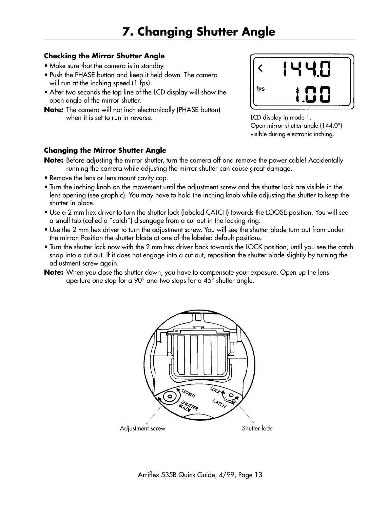# **Checking the Mirror Shutter Angle**

- Make sure that the camera is in standby.
- Push the PHASE button and keep it held down. The camera will run at the inching speed (1 fps).
- After two seconds the top line of the LCD display will show the open angle of the mirror shutter.
- **Note:** The camera will not inch electronically (PHASE button) when it is set to run in reverse.



LCD display in mode 1. Open mirror shutter angle (144.0°) visible during electronic inching.

# **Changing the Mirror Shutter Angle**

**Note:** Before adjusting the mirror shutter, turn the camera off and remove the power cable! Accidentally running the camera while adjusting the mirror shutter can cause great damage.

- Remove the lens or lens mount cavity cap.
- Turn the inching knob on the movement until the adjustment screw and the shutter lock are visible in the lens opening (see graphic). You may have to hold the inching knob while adjusting the shutter to keep the shutter in place.
- Use a 2 mm hex driver to turn the shutter lock (labeled CATCH) towards the LOOSE position. You will see a small tab (called a "catch") disengage from a cut out in the locking ring.
- Use the 2 mm hex driver to turn the adjustment screw. You will see the shutter blade turn out from under the mirror. Position the shutter blade at one of the labeled default positions.
- Turn the shutter lock now with the 2 mm hex driver back towards the LOCK position, until you see the catch snap into a cut out. If it does not engage into a cut out, reposition the shutter blade slightly by turning the adjustment screw again.

**Note:** When you close the shutter down, you have to compensate your exposure. Open up the lens aperture one stop for a 90° and two stops for a 45° shutter angle.

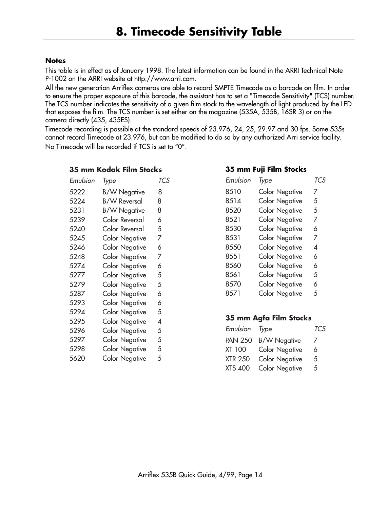#### **Notes**

This table is in effect as of January 1998. The latest information can be found in the ARRI Technical Note P-1002 on the ARRI website at http://www.arri.com.

All the new generation Arriflex cameras are able to record SMPTE Timecode as a barcode on film. In order to ensure the proper exposure of this barcode, the assistant has to set a "Timecode Sensitivity" (TCS) number. The TCS number indicates the sensitivity of a given film stock to the wavelength of light produced by the LED that exposes the film. The TCS number is set either on the magazine (535A, 535B, 16SR 3) or on the camera directly (435, 435ES).

Timecode recording is possible at the standard speeds of 23.976, 24, 25, 29.97 and 30 fps. Some 535s cannot record Timecode at 23.976, but can be modified to do so by any authorized Arri service facility. No Timecode will be recorded if TCS is set to "0".

#### **35 mm Kodak Film Stocks**

| Emulsion | Type                  | TCS |
|----------|-----------------------|-----|
| 5222     | <b>B/W Negative</b>   | 8   |
| 5224     | B/W Reversal          | 8   |
| 5231     | <b>B/W Negative</b>   | 8   |
| 5239     | Color Reversal        | 6   |
| 5240     | Color Reversal        | 5   |
| 5245     | <b>Color Negative</b> | 7   |
| 5246     | <b>Color Negative</b> | 6   |
| 5248     | <b>Color Negative</b> | 7   |
| 5274     | <b>Color Negative</b> | 6   |
| 5277     | <b>Color Negative</b> | 5   |
| 5279     | <b>Color Negative</b> | 5   |
| 5287     | <b>Color Negative</b> | 6   |
| 5293     | <b>Color Negative</b> | 6   |
| 5294     | <b>Color Negative</b> | 5   |
| 5295     | <b>Color Negative</b> | 4   |
| 5296     | <b>Color Negative</b> | 5   |
| 5297     | <b>Color Negative</b> | 5   |
| 5298     | <b>Color Negative</b> | 5   |
| 5620     | <b>Color Negative</b> | 5   |

#### **35 mm Fuji Film Stocks**

| Emulsion | Type                  | TCS |
|----------|-----------------------|-----|
| 8510     | <b>Color Negative</b> | 7   |
| 8514     | <b>Color Negative</b> | 5   |
| 8520     | <b>Color Negative</b> | 5   |
| 8521     | <b>Color Negative</b> | 7   |
| 8530     | <b>Color Negative</b> | 6   |
| 8531     | <b>Color Negative</b> | 7   |
| 8550     | <b>Color Negative</b> | 4   |
| 8551     | <b>Color Negative</b> | 6   |
| 8560     | <b>Color Negative</b> | 6   |
| 8561     | <b>Color Negative</b> | 5   |
| 8570     | <b>Color Negative</b> | 6   |
| 8571     | <b>Color Negative</b> | 5   |

#### **35 mm Agfa Film Stocks**

| Emulsion Type  |                       | <b>TCS</b> |
|----------------|-----------------------|------------|
| <b>PAN 250</b> | <b>B/W Negative</b>   | 7          |
| XT 100         | <b>Color Negative</b> | 6          |
| <b>XTR 250</b> | <b>Color Negative</b> | 5          |
| <b>XTS 400</b> | <b>Color Negative</b> | 5          |